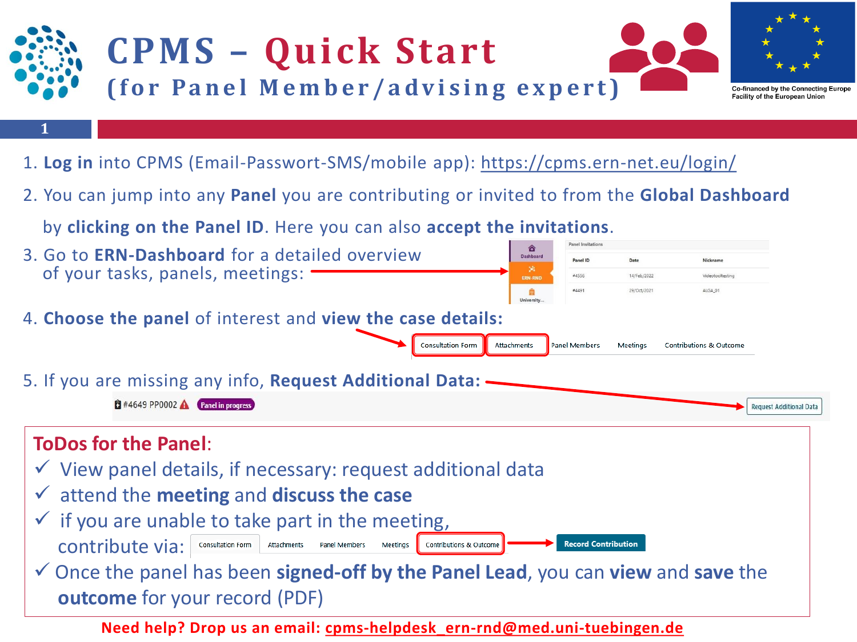

**Need help? Drop us an email: [cpms-helpdesk\\_ern-rnd@med.uni-tuebingen.de](mailto:cpms-helpdesk_ern-rnd@med.uni-tuebingen.de)**